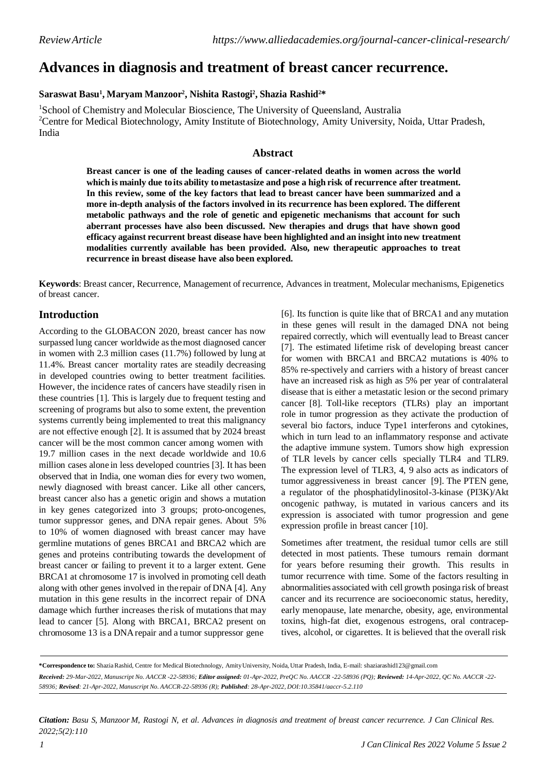# **Advances in diagnosis and treatment of breast cancer recurrence.**

## **Saraswat Basu<sup>1</sup> , Maryam Manzoor<sup>2</sup> , Nishita Rastogi<sup>2</sup> , Shazia Rashid2\***

<sup>1</sup>School of Chemistry and Molecular Bioscience, The University of Queensland, Australia <sup>2</sup>Centre for Medical Biotechnology, Amity Institute of Biotechnology, Amity University, Noida, Uttar Pradesh, India

## **Abstract**

**Breast cancer is one of the leading causes of cancer-related deaths in women across the world which is mainly due toits ability tometastasize and pose a high risk of recurrence after treatment. In this review, some of the key factors that lead to breast cancer have been summarized and a more in-depth analysis of the factors involved in its recurrence has been explored. The different metabolic pathways and the role of genetic and epigenetic mechanisms that account for such aberrant processes have also been discussed. New therapies and drugs that have shown good efficacy against recurrent breast disease have been highlighted and an insight into new treatment modalities currently available has been provided. Also, new therapeutic approaches to treat recurrence in breast disease have also been explored.**

**Keywords**: Breast cancer, Recurrence, Management of recurrence, Advances in treatment, Molecular mechanisms, Epigenetics of breast cancer.

# **Introduction**

According to the GLOBACON 2020, breast cancer has now surpassed lung cancer worldwide asthemost diagnosed cancer in women with 2.3 million cases (11.7%) followed by lung at 11.4%. Breast cancer mortality rates are steadily decreasing in developed countries owing to better treatment facilities. However, the incidence rates of cancers have steadily risen in these countries [1]. This is largely due to frequent testing and screening of programs but also to some extent, the prevention systems currently being implemented to treat this malignancy are not effective enough [2]. It is assumed that by 2024 breast cancer will be the most common cancer among women with 19.7 million cases in the next decade worldwide and 10.6 million cases alone in less developed countries [3]. It has been observed that in India, one woman dies for every two women, newly diagnosed with breast cancer. Like all other cancers, breast cancer also has a genetic origin and shows a mutation in key genes categorized into 3 groups; proto-oncogenes, tumor suppressor genes, and DNA repair genes. About 5% to 10% of women diagnosed with breast cancer may have germline mutations of genes BRCA1 and BRCA2 which are genes and proteins contributing towards the development of breast cancer or failing to prevent it to a larger extent. Gene BRCA1 at chromosome 17 is involved in promoting cell death along with other genes involved in the repair ofDNA [4]. Any mutation in this gene results in the incorrect repair of DNA damage which further increases the risk of mutations that may lead to cancer [5]. Along with BRCA1, BRCA2 present on chromosome 13 is a DNArepair and a tumor suppressor gene

[6]. Its function is quite like that of BRCA1 and any mutation in these genes will result in the damaged DNA not being repaired correctly, which will eventually lead to Breast cancer [7]. The estimated lifetime risk of developing breast cancer for women with BRCA1 and BRCA2 mutations is 40% to 85% re-spectively and carriers with a history of breast cancer have an increased risk as high as 5% per year of contralateral disease that is either a metastatic lesion or the second primary cancer [8]. Toll-like receptors (TLRs) play an important role in tumor progression as they activate the production of several bio factors, induce Type1 interferons and cytokines, which in turn lead to an inflammatory response and activate the adaptive immune system. Tumors show high expression of TLR levels by cancer cells specially TLR4 and TLR9. The expression level of TLR3, 4, 9 also acts as indicators of tumor aggressiveness in breast cancer [9]. The PTEN gene, a regulator of the phosphatidylinositol-3-kinase (PI3K)/Akt oncogenic pathway, is mutated in various cancers and its expression is associated with tumor progression and gene expression profile in breast cancer [10].

Sometimes after treatment, the residual tumor cells are still detected in most patients. These tumours remain dormant for years before resuming their growth. This results in tumor recurrence with time. Some of the factors resulting in abnormalities associated with cell growth posinga risk of breast cancer and its recurrence are socioeconomic status, heredity, early menopause, late menarche, obesity, age, environmental toxins, high-fat diet, exogenous estrogens, oral contraceptives, alcohol, or cigarettes. It is believed that the overall risk

**\*Correspondence to:** ShaziaRashid, Centre for Medical Biotechnology, AmityUniversity, Noida, Uttar Pradesh, India, E-mail: [shaziarashid123@gmail.com](mailto:shaziarashid123@gmail.com)

*Received: 29-Mar-2022, Manuscript No. AACCR -22-58936; Editor assigned: 01-Apr-2022, PreQC No. AACCR -22-58936 (PQ); Reviewed: 14-Apr-2022, QC No. AACCR -22- 58936; Revised: 21-Apr-2022, Manuscript No. AACCR-22-58936 (R); Published: 28-Apr-2022, DOI:10.35841/aaccr-5.2.110*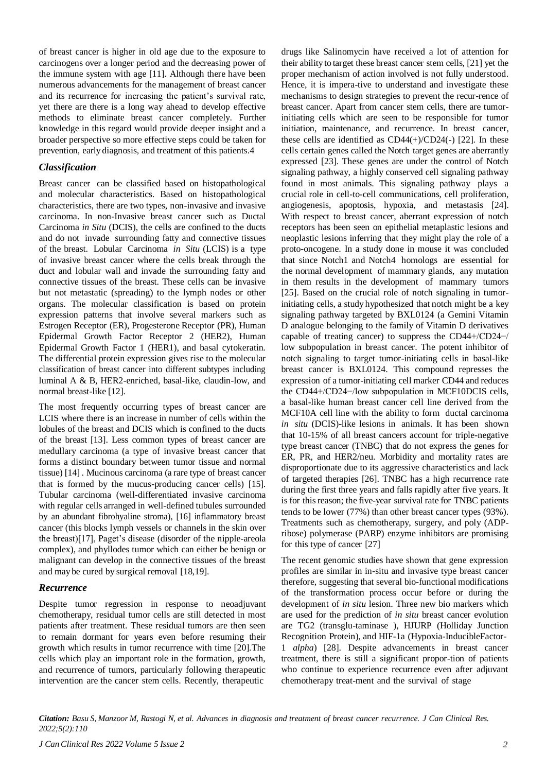of breast cancer is higher in old age due to the exposure to carcinogens over a longer period and the decreasing power of the immune system with age [11]. Although there have been numerous advancements for the management of breast cancer and its recurrence for increasing the patient's survival rate, yet there are there is a long way ahead to develop effective methods to eliminate breast cancer completely. Further knowledge in this regard would provide deeper insight and a broader perspective so more effective steps could be taken for prevention, early diagnosis, and treatment of this patients.4

#### *Classification*

Breast cancer can be classified based on histopathological and molecular characteristics. Based on histopathological characteristics, there are two types, non-invasive and invasive carcinoma. In non-Invasive breast cancer such as Ductal Carcinoma *in Situ* (DCIS), the cells are confined to the ducts and do not invade surrounding fatty and connective tissues of the breast. Lobular Carcinoma *in Situ* (LCIS) is a type of invasive breast cancer where the cells break through the duct and lobular wall and invade the surrounding fatty and connective tissues of the breast. These cells can be invasive but not metastatic (spreading) to the lymph nodes or other organs. The molecular classification is based on protein expression patterns that involve several markers such as Estrogen Receptor (ER), Progesterone Receptor (PR), Human Epidermal Growth Factor Receptor 2 (HER2), Human Epidermal Growth Factor 1 (HER1), and basal cytokeratin. The differential protein expression gives rise to the molecular classification of breast cancer into different subtypes including luminal A & B, HER2-enriched, basal-like, claudin-low, and normal breast-like [12].

The most frequently occurring types of breast cancer are LCIS where there is an increase in number of cells within the lobules of the breast and DCIS which is confined to the ducts of the breast [13]. Less common types of breast cancer are medullary carcinoma (a type of invasive breast cancer that forms a distinct boundary between tumor tissue and normal tissue) [14] . Mucinous carcinoma (a rare type of breast cancer that is formed by the mucus-producing cancer cells) [15]. Tubular carcinoma (well-differentiated invasive carcinoma with regular cells arranged in well-defined tubules surrounded by an abundant fibrohyaline stroma), [16] inflammatory breast cancer (this blocks lymph vessels or channels in the skin over the breast)[17], Paget's disease (disorder of the nipple-areola complex), and phyllodes tumor which can either be benign or malignant can develop in the connective tissues of the breast and may be cured by surgical removal [18,19].

#### *Recurrence*

Despite tumor regression in response to neoadjuvant chemotherapy, residual tumor cells are still detected in most patients after treatment. These residual tumors are then seen to remain dormant for years even before resuming their growth which results in tumor recurrence with time [20].The cells which play an important role in the formation, growth, and recurrence of tumors, particularly following therapeutic intervention are the cancer stem cells. Recently, therapeutic

drugs like Salinomycin have received a lot of attention for their abilityto target these breast cancer stem cells, [21] yet the proper mechanism of action involved is not fully understood. Hence, it is impera-tive to understand and investigate these mechanisms to design strategies to prevent the recur-rence of breast cancer. Apart from cancer stem cells, there are tumorinitiating cells which are seen to be responsible for tumor initiation, maintenance, and recurrence. In breast cancer, these cells are identified as  $CD44(+)/CD24(-)$  [22]. In these cells certain genes called the Notch target genes are aberrantly expressed [23]. These genes are under the control of Notch signaling pathway, a highly conserved cell signaling pathway found in most animals. This signaling pathway plays a crucial role in cell-to-cell communications, cell proliferation, angiogenesis, apoptosis, hypoxia, and metastasis [24]. With respect to breast cancer, aberrant expression of notch receptors has been seen on epithelial metaplastic lesions and neoplastic lesions inferring that they might play the role of a proto-oncogene. In a study done in mouse it was concluded that since Notch1 and Notch4 homologs are essential for the normal development of mammary glands, any mutation in them results in the development of mammary tumors [25]. Based on the crucial role of notch signaling in tumorinitiating cells, a study hypothesized that notch might be a key signaling pathway targeted by BXL0124 (a Gemini Vitamin D analogue belonging to the family of Vitamin D derivatives capable of treating cancer) to suppress the CD44+/CD24−/ low subpopulation in breast cancer. The potent inhibitor of notch signaling to target tumor-initiating cells in basal-like breast cancer is BXL0124. This compound represses the expression of a tumor-initiating cell marker CD44 and reduces the CD44+/CD24−/low subpopulation in MCF10DCIS cells, a basal-like human breast cancer cell line derived from the MCF10A cell line with the ability to form ductal carcinoma *in situ* (DCIS)-like lesions in animals. It has been shown that 10-15% of all breast cancers account for triple-negative type breast cancer (TNBC) that do not express the genes for ER, PR, and HER2/neu. Morbidity and mortality rates are disproportionate due to its aggressive characteristics and lack of targeted therapies [26]. TNBC has a high recurrence rate during the first three years and falls rapidly after five years. It is for this reason; the five-year survival rate for TNBC patients tends to be lower (77%) than other breast cancer types (93%). Treatments such as chemotherapy, surgery, and poly (ADPribose) polymerase (PARP) enzyme inhibitors are promising for this type of cancer [27]

The recent genomic studies have shown that gene expression profiles are similar in in-situ and invasive type breast cancer therefore, suggesting that several bio-functional modifications of the transformation process occur before or during the development of *in situ* lesion. Three new bio markers which are used for the prediction of *in situ* breast cancer evolution are TG2 (transglu-taminase ), HJURP (Holliday Junction Recognition Protein), and HIF-1a (Hypoxia-InducibleFactor-1 *alpha*) [28]. Despite advancements in breast cancer treatment, there is still a significant propor-tion of patients who continue to experience recurrence even after adjuvant chemotherapy treat-ment and the survival of stage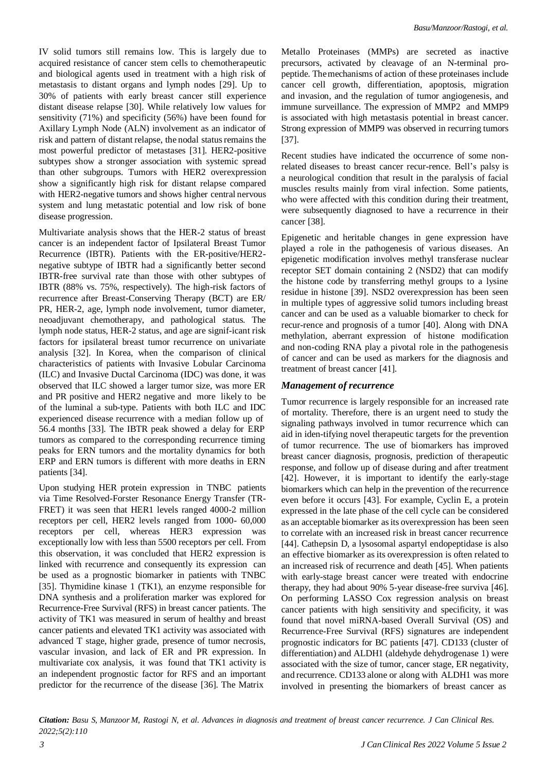IV solid tumors still remains low. This is largely due to acquired resistance of cancer stem cells to chemotherapeutic and biological agents used in treatment with a high risk of metastasis to distant organs and lymph nodes [29]. Up to 30% of patients with early breast cancer still experience distant disease relapse [30]. While relatively low values for sensitivity (71%) and specificity (56%) have been found for Axillary Lymph Node (ALN) involvement as an indicator of risk and pattern of distant relapse, the nodal status remains the most powerful predictor of metastases [31]. HER2-positive subtypes show a stronger association with systemic spread than other subgroups. Tumors with HER2 overexpression show a significantly high risk for distant relapse compared with HER2-negative tumors and shows higher central nervous system and lung metastatic potential and low risk of bone disease progression.

Multivariate analysis shows that the HER-2 status of breast cancer is an independent factor of Ipsilateral Breast Tumor Recurrence (IBTR). Patients with the ER-positive/HER2 negative subtype of IBTR had a significantly better second IBTR-free survival rate than those with other subtypes of IBTR (88% vs. 75%, respectively). The high-risk factors of recurrence after Breast-Conserving Therapy (BCT) are ER/ PR, HER-2, age, lymph node involvement, tumor diameter, neoadjuvant chemotherapy, and pathological status. The lymph node status, HER-2 status, and age are signif-icant risk factors for ipsilateral breast tumor recurrence on univariate analysis [32]. In Korea, when the comparison of clinical characteristics of patients with Invasive Lobular Carcinoma (ILC) and Invasive Ductal Carcinoma (IDC) was done, it was observed that ILC showed a larger tumor size, was more ER and PR positive and HER2 negative and more likely to be of the luminal a sub-type. Patients with both ILC and IDC experienced disease recurrence with a median follow up of 56.4 months [33]. The IBTR peak showed a delay for ERP tumors as compared to the corresponding recurrence timing peaks for ERN tumors and the mortality dynamics for both ERP and ERN tumors is different with more deaths in ERN patients [34].

Upon studying HER protein expression in TNBC patients via Time Resolved-Forster Resonance Energy Transfer (TR-FRET) it was seen that HER1 levels ranged 4000-2 million receptors per cell, HER2 levels ranged from 1000- 60,000 receptors per cell, whereas HER3 expression was exceptionally low with less than 5500 receptors per cell. From this observation, it was concluded that HER2 expression is linked with recurrence and consequently its expression can be used as a prognostic biomarker in patients with TNBC [35]. Thymidine kinase 1 (TK1), an enzyme responsible for DNA synthesis and a proliferation marker was explored for Recurrence-Free Survival (RFS) in breast cancer patients. The activity of TK1 was measured in serum of healthy and breast cancer patients and elevated TK1 activity was associated with advanced T stage, higher grade, presence of tumor necrosis, vascular invasion, and lack of ER and PR expression. In multivariate cox analysis, it was found that TK1 activity is an independent prognostic factor for RFS and an important predictor for the recurrence of the disease [36]. The Matrix

Metallo Proteinases (MMPs) are secreted as inactive precursors, activated by cleavage of an N-terminal propeptide. Themechanisms of action of these proteinases include cancer cell growth, differentiation, apoptosis, migration and invasion, and the regulation of tumor angiogenesis, and immune surveillance. The expression of MMP2 and MMP9 is associated with high metastasis potential in breast cancer. Strong expression of MMP9 was observed in recurring tumors [37].

Recent studies have indicated the occurrence of some nonrelated diseases to breast cancer recur-rence. Bell's palsy is a neurological condition that result in the paralysis of facial muscles results mainly from viral infection. Some patients, who were affected with this condition during their treatment, were subsequently diagnosed to have a recurrence in their cancer [38].

Epigenetic and heritable changes in gene expression have played a role in the pathogenesis of various diseases. An epigenetic modification involves methyl transferase nuclear receptor SET domain containing 2 (NSD2) that can modify the histone code by transferring methyl groups to a lysine residue in histone [39]. NSD2 overexpression has been seen in multiple types of aggressive solid tumors including breast cancer and can be used as a valuable biomarker to check for recur-rence and prognosis of a tumor [40]. Along with DNA methylation, aberrant expression of histone modification and non-coding RNA play a pivotal role in the pathogenesis of cancer and can be used as markers for the diagnosis and treatment of breast cancer [41].

# *Management of recurrence*

Tumor recurrence is largely responsible for an increased rate of mortality. Therefore, there is an urgent need to study the signaling pathways involved in tumor recurrence which can aid in iden-tifying novel therapeutic targets for the prevention of tumor recurrence. The use of biomarkers has improved breast cancer diagnosis, prognosis, prediction of therapeutic response, and follow up of disease during and after treatment [42]. However, it is important to identify the early-stage biomarkers which can help in the prevention of the recurrence even before it occurs [43]. For example, Cyclin E, a protein expressed in the late phase of the cell cycle can be considered as an acceptable biomarker as its overexpression has been seen to correlate with an increased risk in breast cancer recurrence [44]. Cathepsin D, a lysosomal aspartyl endopeptidase is also an effective biomarker as its overexpression is often related to an increased risk of recurrence and death [45]. When patients with early-stage breast cancer were treated with endocrine therapy, they had about 90% 5-year disease-free surviva [46]. On performing LASSO Cox regression analysis on breast cancer patients with high sensitivity and specificity, it was found that novel miRNA-based Overall Survival (OS) and Recurrence-Free Survival (RFS) signatures are independent prognostic indicators for BC patients [47]. CD133 (cluster of differentiation) and ALDH1 (aldehyde dehydrogenase 1) were associated with the size of tumor, cancer stage, ER negativity, and recurrence. CD133 alone or along with ALDH1 was more involved in presenting the biomarkers of breast cancer as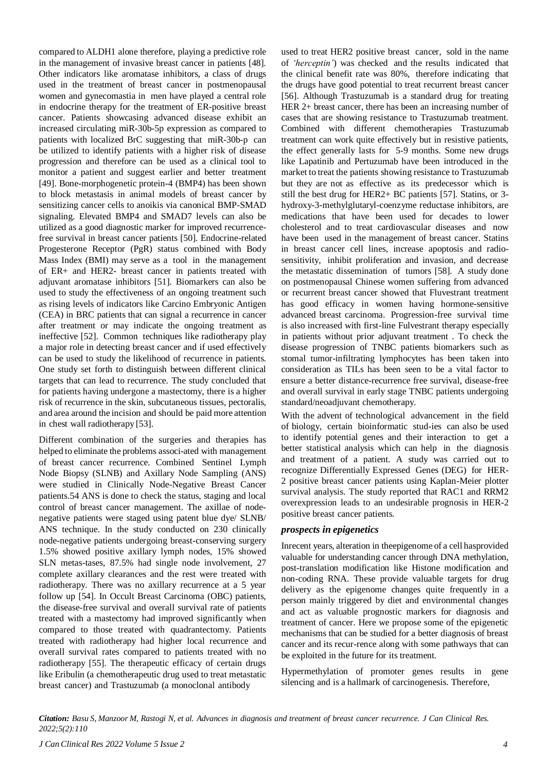compared to ALDH1 alone therefore, playing a predictive role in the management of invasive breast cancer in patients [48]. Other indicators like aromatase inhibitors, a class of drugs used in the treatment of breast cancer in postmenopausal women and gynecomastia in men have played a central role in endocrine therapy for the treatment of ER-positive breast cancer. Patients showcasing advanced disease exhibit an increased circulating miR-30b-5p expression as compared to patients with localized BrC suggesting that miR-30b-p can be utilized to identify patients with a higher risk of disease progression and therefore can be used as a clinical tool to monitor a patient and suggest earlier and better treatment [49]. Bone-morphogenetic protein-4 (BMP4) has been shown to block metastasis in animal models of breast cancer by sensitizing cancer cells to anoikis via canonical BMP-SMAD signaling. Elevated BMP4 and SMAD7 levels can also be utilized as a good diagnostic marker for improved recurrencefree survival in breast cancer patients [50]. Endocrine-related Progesterone Receptor (PgR) status combined with Body Mass Index (BMI) may serve as a tool in the management of ER+ and HER2- breast cancer in patients treated with adjuvant aromatase inhibitors [51]. Biomarkers can also be used to study the effectiveness of an ongoing treatment such as rising levels of indicators like Carcino Embryonic Antigen (CEA) in BRC patients that can signal a recurrence in cancer after treatment or may indicate the ongoing treatment as ineffective [52]. Common techniques like radiotherapy play a major role in detecting breast cancer and if used effectively can be used to study the likelihood of recurrence in patients. One study set forth to distinguish between different clinical targets that can lead to recurrence. The study concluded that for patients having undergone a mastectomy, there is a higher risk of recurrence in the skin, subcutaneous tissues, pectoralis, and area around the incision and should be paid more attention in chest wall radiotherapy [53].

Different combination of the surgeries and therapies has helped to eliminate the problems associ-ated with management of breast cancer recurrence. Combined Sentinel Lymph Node Biopsy (SLNB) and Axillary Node Sampling (ANS) were studied in Clinically Node-Negative Breast Cancer patients.54 ANS is done to check the status, staging and local control of breast cancer management. The axillae of nodenegative patients were staged using patent blue dye/ SLNB/ ANS technique. In the study conducted on 230 clinically node-negative patients undergoing breast-conserving surgery 1.5% showed positive axillary lymph nodes, 15% showed SLN metas-tases, 87.5% had single node involvement, 27 complete axillary clearances and the rest were treated with radiotherapy. There was no axillary recurrence at a 5 year follow up [54]. In Occult Breast Carcinoma (OBC) patients, the disease-free survival and overall survival rate of patients treated with a mastectomy had improved significantly when compared to those treated with quadrantectomy. Patients treated with radiotherapy had higher local recurrence and overall survival rates compared to patients treated with no radiotherapy [55]. The therapeutic efficacy of certain drugs like Eribulin (a chemotherapeutic drug used to treat metastatic breast cancer) and Trastuzumab (a monoclonal antibody

used to treat HER2 positive breast cancer, sold in the name of *'herceptin'*) was checked and the results indicated that the clinical benefit rate was 80%, therefore indicating that the drugs have good potential to treat recurrent breast cancer [56]. Although Trastuzumab is a standard drug for treating HER 2+ breast cancer, there has been an increasing number of cases that are showing resistance to Trastuzumab treatment. Combined with different chemotherapies Trastuzumab treatment can work quite effectively but in resistive patients, the effect generally lasts for 5-9 months. Some new drugs like Lapatinib and Pertuzumab have been introduced in the market to treat the patients showing resistance to Trastuzumab but they are not as effective as its predecessor which is still the best drug for HER2+ BC patients [57]. Statins, or 3 hydroxy-3-methylglutaryl-coenzyme reductase inhibitors, are medications that have been used for decades to lower cholesterol and to treat cardiovascular diseases and now have been used in the management of breast cancer. Statins in breast cancer cell lines, increase apoptosis and radiosensitivity, inhibit proliferation and invasion, and decrease the metastatic dissemination of tumors [58]. A study done on postmenopausal Chinese women suffering from advanced or recurrent breast cancer showed that Fluvestrant treatment has good efficacy in women having hormone-sensitive advanced breast carcinoma. Progression-free survival time is also increased with first-line Fulvestrant therapy especially in patients without prior adjuvant treatment . To check the disease progression of TNBC patients biomarkers such as stomal tumor-infiltrating lymphocytes has been taken into consideration as TILs has been seen to be a vital factor to ensure a better distance-recurrence free survival, disease-free and overall survival in early stage TNBC patients undergoing standard/neoadjuvant chemotherapy.

With the advent of technological advancement in the field of biology, certain bioinformatic stud-ies can also be used to identify potential genes and their interaction to get a better statistical analysis which can help in the diagnosis and treatment of a patient. A study was carried out to recognize Differentially Expressed Genes (DEG) for HER-2 positive breast cancer patients using Kaplan-Meier plotter survival analysis. The study reported that RAC1 and RRM2 overexpression leads to an undesirable prognosis in HER-2 positive breast cancer patients.

#### *prospects in epigenetics*

Inrecent years, alteration in theepigenome of a cell hasprovided valuable for understanding cancer through DNA methylation, post-translation modification like Histone modification and non-coding RNA. These provide valuable targets for drug delivery as the epigenome changes quite frequently in a person mainly triggered by diet and environmental changes and act as valuable prognostic markers for diagnosis and treatment of cancer. Here we propose some of the epigenetic mechanisms that can be studied for a better diagnosis of breast cancer and its recur-rence along with some pathways that can be exploited in the future for its treatment.

Hypermethylation of promoter genes results in gene silencing and is a hallmark of carcinogenesis. Therefore,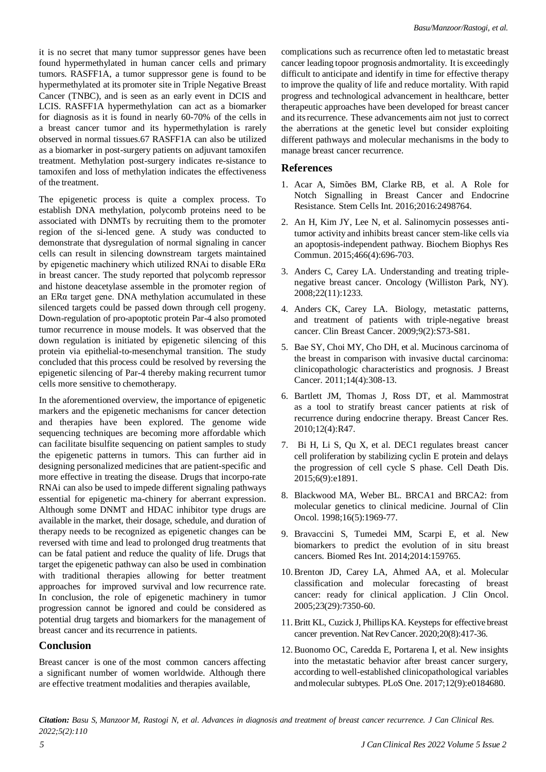it is no secret that many tumor suppressor genes have been found hypermethylated in human cancer cells and primary tumors. RASFF1A, a tumor suppressor gene is found to be hypermethylated at its promoter site in Triple Negative Breast Cancer (TNBC), and is seen as an early event in DCIS and LCIS. RASFF1A hypermethylation can act as a biomarker for diagnosis as it is found in nearly 60-70% of the cells in a breast cancer tumor and its hypermethylation is rarely observed in normal tissues.67 RASFF1A can also be utilized as a biomarker in post-surgery patients on adjuvant tamoxifen treatment. Methylation post-surgery indicates re-sistance to tamoxifen and loss of methylation indicates the effectiveness of the treatment.

The epigenetic process is quite a complex process. To establish DNA methylation, polycomb proteins need to be associated with DNMTs by recruiting them to the promoter region of the si-lenced gene. A study was conducted to demonstrate that dysregulation of normal signaling in cancer cells can result in silencing downstream targets maintained by epigenetic machinery which utilized RNAi to disable ERα in breast cancer. The study reported that polycomb repressor and histone deacetylase assemble in the promoter region of an ERα target gene. DNA methylation accumulated in these silenced targets could be passed down through cell progeny. Down-regulation of pro-apoptotic protein Par-4 also promoted tumor recurrence in mouse models. It was observed that the down regulation is initiated by epigenetic silencing of this protein via epithelial-to-mesenchymal transition. The study concluded that this process could be resolved by reversing the epigenetic silencing of Par-4 thereby making recurrent tumor cells more sensitive to chemotherapy.

In the aforementioned overview, the importance of epigenetic markers and the epigenetic mechanisms for cancer detection and therapies have been explored. The genome wide sequencing techniques are becoming more affordable which can facilitate bisulfite sequencing on patient samples to study the epigenetic patterns in tumors. This can further aid in designing personalized medicines that are patient-specific and more effective in treating the disease. Drugs that incorpo-rate RNAi can also be used to impede different signaling pathways essential for epigenetic ma-chinery for aberrant expression. Although some DNMT and HDAC inhibitor type drugs are available in the market, their dosage, schedule, and duration of therapy needs to be recognized as epigenetic changes can be reversed with time and lead to prolonged drug treatments that can be fatal patient and reduce the quality of life. Drugs that target the epigenetic pathway can also be used in combination with traditional therapies allowing for better treatment approaches for improved survival and low recurrence rate. In conclusion, the role of epigenetic machinery in tumor progression cannot be ignored and could be considered as potential drug targets and biomarkers for the management of breast cancer and its recurrence in patients.

## **Conclusion**

Breast cancer is one of the most common cancers affecting a significant number of women worldwide. Although there are effective treatment modalities and therapies available,

complications such as recurrence often led to metastatic breast cancer leading topoor prognosis andmortality. It is exceedingly difficult to anticipate and identify in time for effective therapy to improve the quality of life and reduce mortality. With rapid progress and technological advancement in healthcare, better therapeutic approaches have been developed for breast cancer and itsrecurrence. These advancements aim not just to correct the aberrations at the genetic level but consider exploiting different pathways and molecular mechanisms in the body to manage breast cancer recurrence.

#### **References**

- 1. Acar A, Simões BM, Clarke RB, et al. A [Role](https://www.hindawi.com/journals/sci/2016/2498764/) for Notch [Signalling](https://www.hindawi.com/journals/sci/2016/2498764/) in Breast Cancer and Endocrine [Resistance.](https://www.hindawi.com/journals/sci/2016/2498764/) Stem Cells Int. 2016;2016:2498764.
- 2. An H, Kim JY, Lee N, et al. Salinomycin possesses antitumor activity and inhibits breast cancer stem-like cells via an apoptosis-independent pathway. Biochem Biophys Res Commun. 2015;466(4):696-703.
- 3. Anders C, Carey LA. Understanding and treating triplenegative breast cancer. Oncology (Williston Park, NY). 2008;22(11):1233.
- 4. Anders CK, Carey LA. Biology, [metastatic](https://www.sciencedirect.com/science/article/abs/pii/S1526820911706899) patterns, and treatment of patients with [triple-negative](https://www.sciencedirect.com/science/article/abs/pii/S1526820911706899) breast [cancer.](https://www.sciencedirect.com/science/article/abs/pii/S1526820911706899) Clin Breast Cancer. 2009;9(2):S73-S81.
- 5. Bae SY, Choi MY, Cho DH, et al[. Mucinous carcinoma of](https://synapse.koreamed.org/articles/1036287) [the breast in comparison with invasive ductal carcinoma:](https://synapse.koreamed.org/articles/1036287) [clinicopathologic characteristics and prognosis.](https://synapse.koreamed.org/articles/1036287) J Breast Cancer. 2011;14(4):308-13.
- 6. Bartlett JM, Thomas J, Ross DT, et al. [Mammostrat](https://breast-cancer-research.biomedcentral.com/articles/10.1186/bcr2604) as a tool to stratify breast cancer [patients](https://breast-cancer-research.biomedcentral.com/articles/10.1186/bcr2604) at risk of [recurrence during endocrine therapy.](https://breast-cancer-research.biomedcentral.com/articles/10.1186/bcr2604) Breast Cancer Res. 2010;12(4):R47.
- 7. Bi H, Li S, Qu X, et al. [DEC1 regulates breast](https://www.nature.com/articles/cddis2015247) cancer [cell proliferation by stabilizing cyclin E protein and delays](https://www.nature.com/articles/cddis2015247) the progression [of cell cycle S phase.](https://www.nature.com/articles/cddis2015247) Cell Death Dis. 2015;6(9):e1891.
- 8. Blackwood MA, Weber BL. [BRCA1 and BRCA2: from](https://ascopubs.org/doi/abs/10.1200/jco.1998.16.5.1969) [molecular genetics to clinical medicine.](https://ascopubs.org/doi/abs/10.1200/jco.1998.16.5.1969) Journal of Clin Oncol. 1998;16(5):1969-77.
- 9. Bravaccini S, Tumedei MM, Scarpi E, et al. [New](https://scholar.google.com/scholar?hl=en&as_sdt=0%2C5&q=New%2Bbiomarkers%2Bto%2Bpredict%2Bthe%2Bevolution%2Bof%2Bin%2Bsitu%2Bbreast%2Bcancers&btnG) [biomarkers](https://scholar.google.com/scholar?hl=en&as_sdt=0%2C5&q=New%2Bbiomarkers%2Bto%2Bpredict%2Bthe%2Bevolution%2Bof%2Bin%2Bsitu%2Bbreast%2Bcancers&btnG) to predict the evolution of in situ breast [cancers.](https://scholar.google.com/scholar?hl=en&as_sdt=0%2C5&q=New%2Bbiomarkers%2Bto%2Bpredict%2Bthe%2Bevolution%2Bof%2Bin%2Bsitu%2Bbreast%2Bcancers&btnG) Biomed Res Int. 2014;2014:159765.
- 10.Brenton JD, Carey LA, Ahmed AA, et al. [Molecular](https://ascopubs.org/doi/abs/10.1200/jco.2005.03.3845?journalCode=jco) [classification](https://ascopubs.org/doi/abs/10.1200/jco.2005.03.3845?journalCode=jco) and molecular forecasting of breast cancer: ready for clinical [application.](https://ascopubs.org/doi/abs/10.1200/jco.2005.03.3845?journalCode=jco) J Clin Oncol. 2005;23(29):7350-60.
- 11. Britt KL, Cuzick J, Phillips KA. [Keysteps](https://www.nature.com/articles/s41568-020-0266-x) for effective breast cancer [prevention.](https://www.nature.com/articles/s41568-020-0266-x) Nat Rev Cancer. 2020;20(8):417-36.
- 12.Buonomo OC, Caredda E, Portarena I, et al. New insights into the metastatic behavior after breast cancer surgery, according to well-established clinicopathological variables andmolecular subtypes. PLoS One. 2017;12(9):e0184680.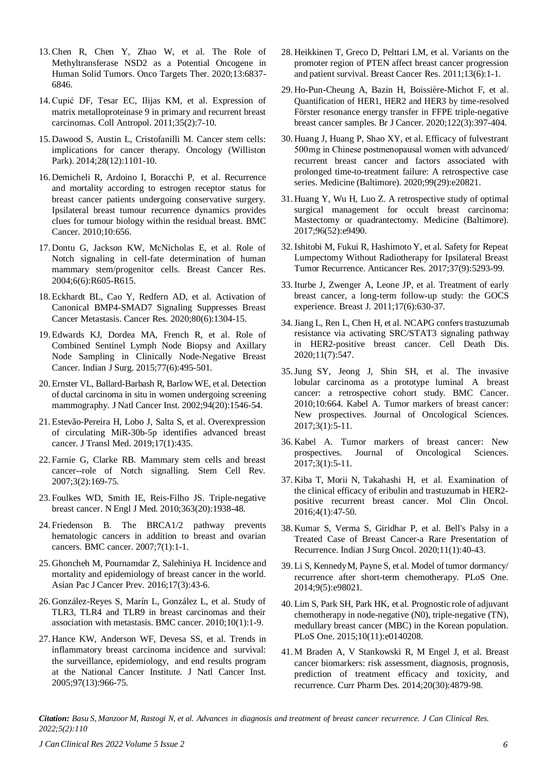- 13.Chen R, Chen Y, Zhao W, et al. The Role of Methyltransferase NSD2 as a Potential Oncogene in Human Solid Tumors. Onco Targets Ther. 2020;13:6837- 6846.
- 14.Cupić DF, Tesar EC, Ilijas KM, et al. [Expression](https://hrcak.srce.hr/file/107494) of [matrix metalloproteinase 9 in primary and recurrent breast](https://hrcak.srce.hr/file/107494) [carcinomas. C](https://hrcak.srce.hr/file/107494)oll Antropol. 2011;35(2):7-10.
- 15. Dawood S, Austin L, Cristofanilli M. [Cancer stem cells:](http://showcase.rxprism.com/microsite/eModules/Product_Module/contents/Resources/Dawood_Oncology_2014.pdf) [implications](http://showcase.rxprism.com/microsite/eModules/Product_Module/contents/Resources/Dawood_Oncology_2014.pdf) for cancer therapy. Oncology (Williston Park). 2014;28(12):1101-10.
- 16. Demicheli R, Ardoino I, Boracchi P, et al. [Recurrence](https://bmccancer.biomedcentral.com/articles/10.1186/1471-2407-10-656) [and mortality according to estrogen receptor](https://bmccancer.biomedcentral.com/articles/10.1186/1471-2407-10-656) status for [breast cancer patients undergoing conservative surgery.](https://bmccancer.biomedcentral.com/articles/10.1186/1471-2407-10-656) [Ipsilateral breast tumour](https://bmccancer.biomedcentral.com/articles/10.1186/1471-2407-10-656) recurrence dynamics provides [clues for tumour biology within the residual breast. B](https://bmccancer.biomedcentral.com/articles/10.1186/1471-2407-10-656)MC Cancer. 2010;10:656.
- 17. Dontu G, Jackson KW, McNicholas E, et al. Role of Notch signaling in cell-fate determination of human mammary stem/progenitor cells. Breast Cancer Res. 2004;6(6):R605-R615.
- 18. Eckhardt BL, Cao Y, Redfern AD, et al. [Activation of](https://aacrjournals.org/cancerres/article/80/6/1304/647782/Activation-of-Canonical-BMP4-SMAD7-Signaling) Canonical [BMP4-SMAD7](https://aacrjournals.org/cancerres/article/80/6/1304/647782/Activation-of-Canonical-BMP4-SMAD7-Signaling) Signaling Suppresses Breast Cancer [Metastasis. C](https://aacrjournals.org/cancerres/article/80/6/1304/647782/Activation-of-Canonical-BMP4-SMAD7-Signaling)ancer Res. 2020;80(6):1304-15.
- 19. Edwards KJ, Dordea MA, French R, et al. [Role](https://link.springer.com/article/10.1007/s12262-015-1300-1) of [Combined](https://link.springer.com/article/10.1007/s12262-015-1300-1) Sentinel Lymph Node Biopsy and Axillary Node Sampling in Clinically [Node-Negative](https://link.springer.com/article/10.1007/s12262-015-1300-1) Breast [Cancer. I](https://link.springer.com/article/10.1007/s12262-015-1300-1)ndian J Surg. 2015;77(6):495-501.
- 20. Ernster VL, Ballard-Barbash R, BarlowWE, et al. [Detection](https://academic.oup.com/jnci/article/94/20/1546/1802705?login=true) of ductal carcinoma in situ in [women undergoing](https://academic.oup.com/jnci/article/94/20/1546/1802705?login=true) screening [mammography.](https://academic.oup.com/jnci/article/94/20/1546/1802705?login=true) J Natl Cancer Inst. 2002;94(20):1546-54.
- 21. Estevão-Pereira H, Lobo J, Salta S, et al. Overexpression of circulating MiR-30b-5p identifies advanced breast cancer*.* J Transl Med. 2019;17(1):435.
- 22. Farnie G, Clarke RB. Mammary stem [cells and breast](https://link.springer.com/article/10.1007/s12015-007-0023-5#citeas) [cancer--role](https://link.springer.com/article/10.1007/s12015-007-0023-5#citeas) of Notch signalling. Stem Cell Rev. 2007;3(2):169-75.
- 23. Foulkes WD, Smith IE, Reis-Filho JS. [Triple-negative](https://www.nejm.org/doi/full/10.1056/nejmra1001389) breast [cancer.](https://www.nejm.org/doi/full/10.1056/nejmra1001389) N Engl J Med. 2010;363(20):1938-48.
- 24. Friedenson B. The [BRCA1/2](https://bmccancer.biomedcentral.com/articles/10.1186/1471-2407-7-152) pathway prevents [hematologic](https://bmccancer.biomedcentral.com/articles/10.1186/1471-2407-7-152) cancers in addition to breast and ovarian [cancers.](https://bmccancer.biomedcentral.com/articles/10.1186/1471-2407-7-152) BMC cancer. 2007;7(1):1-1.
- 25. Ghoncheh M, Pournamdar Z, Salehiniya H. [Incidence and](https://www.koreascience.or.kr/article/JAKO201608967044280.page) [mortality and epidemiology of breast cancer in the world.](https://www.koreascience.or.kr/article/JAKO201608967044280.page) Asian Pac J Cancer Prev. 2016;17(3):43-6.
- 26. González-Reyes S, Marín L, González L, et al. [Study of](https://bmccancer.biomedcentral.com/articles/10.1186/1471-2407-10-665) [TLR3, TLR4 and TLR9 in breast carcinomas and their](https://bmccancer.biomedcentral.com/articles/10.1186/1471-2407-10-665) [association](https://bmccancer.biomedcentral.com/articles/10.1186/1471-2407-10-665) with metastasis. BMC cancer. 2010;10(1):1-9.
- 27. Hance KW, Anderson WF, Devesa SS, et al. [Trends in](https://academic.oup.com/jnci/article/97/13/966/2521258?login=true) [inflammatory breast carcinoma incidence and](https://academic.oup.com/jnci/article/97/13/966/2521258?login=true) survival: [the surveillance, epidemiology,](https://academic.oup.com/jnci/article/97/13/966/2521258?login=true) and end results program at the National Cancer [Institute.](https://academic.oup.com/jnci/article/97/13/966/2521258?login=true) J Natl Cancer Inst. 2005;97(13):966-75.
- 28. Heikkinen T, Greco D, Pelttari LM, et al. [Variants on the](https://link.springer.com/article/10.1186/bcr3076) [promoter region of PTEN affect breast cancer progression](https://link.springer.com/article/10.1186/bcr3076) and patient [survival.](https://link.springer.com/article/10.1186/bcr3076) Breast Cancer Res. 2011;13(6):1-1.
- 29. Ho-Pun-Cheung A, Bazin H, Boissière-Michot F, et al. [Quantification of HER1, HER2 and HER3 by time-resolved](https://www.nature.com/articles/s41416-019-0670-8) [Förster resonance energy transfer in](https://www.nature.com/articles/s41416-019-0670-8) FFPE triple-negative breast cancer [samples.](https://www.nature.com/articles/s41416-019-0670-8) Br J Cancer. 2020;122(3):397-404.
- 30. Huang J, Huang P, Shao XY, et al. Efficacy of fulvestrant 500 mg in Chinese postmenopausal women with advanced/ recurrent breast cancer and factors associated with prolonged time-to-treatment failure: A retrospective case series. Medicine (Baltimore)*.* 2020;99(29):e20821.
- 31. Huang Y, Wu H, Luo Z. A retrospective study of optimal surgical management for occult breast carcinoma: Mastectomy or quadrantectomy. Medicine (Baltimore). 2017;96(52):e9490.
- 32.Ishitobi M, Fukui R, Hashimoto Y, et al. Safety for [Repeat](https://ar.iiarjournals.org/content/37/9/5293.short) [Lumpectomy Without Radiotherapy for Ipsilateral Breast](https://ar.iiarjournals.org/content/37/9/5293.short) Tumor [Recurrence.](https://ar.iiarjournals.org/content/37/9/5293.short) Anticancer Res. 2017;37(9):5293-99.
- 33.Iturbe J, Zwenger A, Leone JP, et al. [Treatment of early](https://onlinelibrary.wiley.com/doi/abs/10.1111/j.1524-4741.2011.01157.x) breast [cancer, a long-term](https://onlinelibrary.wiley.com/doi/abs/10.1111/j.1524-4741.2011.01157.x) follow-up study: the GOCS [experience.](https://onlinelibrary.wiley.com/doi/abs/10.1111/j.1524-4741.2011.01157.x) Breast J. 2011;17(6):630-37.
- 34.Jiang L, Ren L, Chen H, et al. NCAPG [conferstrastuzumab](https://www.nature.com/articles/s41419-020-02753-x) resistance via activating [SRC/STAT3](https://www.nature.com/articles/s41419-020-02753-x) signaling pathway in [HER2-positive](https://www.nature.com/articles/s41419-020-02753-x) breast cancer. Cell Death Dis. 2020;11(7):547.
- 35.Jung SY, Jeong J, Shin SH, et al. The [invasive](https://link.springer.com/article/10.1186/1471-2407-10-664) lobular [carcinoma](https://link.springer.com/article/10.1186/1471-2407-10-664) as a prototype luminal A breast cancer: a [retrospective](https://link.springer.com/article/10.1186/1471-2407-10-664) cohort study. BMC Cancer. 2010;10:664. Kabel A. [Tumor markers of breast cancer:](https://www.sciencedirect.com/science/article/pii/S2452336416300395) New [prospectives.](https://www.sciencedirect.com/science/article/pii/S2452336416300395) Journal of Oncological Sciences. 2017;3(1):5-11.
- 36. Kabel A. Tumor [markers](https://www.sciencedirect.com/science/article/pii/S2452336416300395) of breast cancer: New [prospectives.](https://www.sciencedirect.com/science/article/pii/S2452336416300395) Journal of Oncological Sciences. 2017;3(1):5-11.
- 37. Kiba T, Morii N, Takahashi H, et al. [Examination](https://www.spandidos-publications.com/mco/4/1/47) of the [clinical efficacy of eribulin and trastuzumab in HER2](https://www.spandidos-publications.com/mco/4/1/47) positive [recurrent](https://www.spandidos-publications.com/mco/4/1/47) breast cancer. Mol Clin Oncol. 2016;4(1):47-50.
- 38. Kumar S, Verma S, Giridhar P, et al. [Bell's Palsy in a](https://link.springer.com/article/10.1007/s13193-020-01034-5) Treated Case of Breast Cancer-a Rare [Presentation](https://link.springer.com/article/10.1007/s13193-020-01034-5) of [Recurrence.](https://link.springer.com/article/10.1007/s13193-020-01034-5) Indian J Surg Oncol. 2020;11(1):40-43.
- 39. Li S, KennedyM, Payne S, et al. Model oftumor dormancy/ recurrence after short-term chemotherapy. PLoS One. 2014;9(5):e98021.
- 40. Lim S, Park SH, Park HK, et al. Prognostic role of adjuvant chemotherapy in node-negative (N0), triple-negative (TN), medullary breast cancer (MBC) in the Korean population. PLoS One. 2015;10(11):e0140208.
- 41. M Braden A, V Stankowski R, M Engel J, et al. [Breast](https://www.ingentaconnect.com/content/ben/cpd/2014/00000020/00000030/art00012) [cancer biomarkers: risk assessment, diagnosis, prognosis,](https://www.ingentaconnect.com/content/ben/cpd/2014/00000020/00000030/art00012) [prediction](https://www.ingentaconnect.com/content/ben/cpd/2014/00000020/00000030/art00012) of treatment efficacy and toxicity, and [recurrence.](https://www.ingentaconnect.com/content/ben/cpd/2014/00000020/00000030/art00012) Curr Pharm Des. 2014;20(30):4879-98.